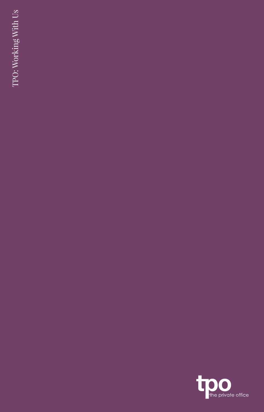TPO: Working With Us TPO: Working With Us

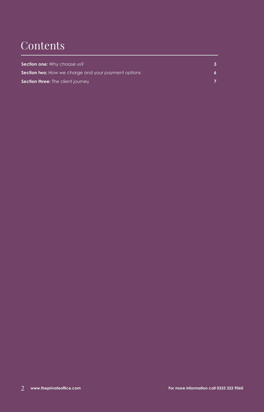## **Contents**

| Section one: Why choose us?                                |  |
|------------------------------------------------------------|--|
| <b>Section two:</b> How we charge and your payment options |  |
| <b>Section three:</b> The client journey                   |  |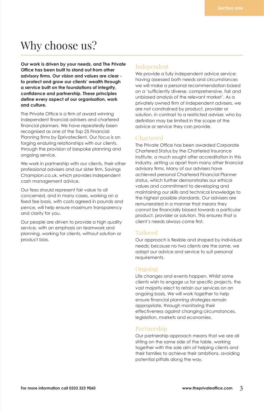## Why choose us?

**Our work is driven by your needs, and The Private Office has been built to stand out from other advisory firms. Our vision and values are clear to protect and grow our clients' wealth through a service built on the foundations of integrity, confidence and partnership. These principles define every aspect of our organisation, work and culture.** 

The Private Office is a firm of award winning independent financial advisers and chartered financial planners. We have repeatedly been recognised as one of the Top 25 Financial Planning firms by Eprivateclient. Our focus is on forging enduring relationships with our clients, through the provision of bespoke planning and ongoing service.

We work in partnership with our clients, their other professional advisers and our sister firm, Savings Champion.co.uk, which provides independent cash management advice.

Our fees should represent fair value to all concerned, and in many cases, working on a fixed fee basis, with costs agreed in pounds and pence, will help ensure maximum transparency and clarity for you.

Our people are driven to provide a high quality service, with an emphasis on teamwork and planning, working for clients, without solution or product bias.

#### Independent

We provide a fully independent advice service; having assessed both needs and circumstances we will make a personal recommendation based on a 'sufficiently diverse, comprehensive, fair and unbiased analysis of the relevant market'. As a privately owned firm of independent advisers, we are not constrained by product, provider or solution, in contrast to a restricted adviser, who by definition may be limited in the scope of the advice or service they can provide.

#### Chartered

The Private Office has been awarded Corporate Chartered Status by the Chartered Insurance Institute, a much sought after accreditation in this industry, setting us apart from many other financial advisory firms. Many of our advisers have achieved personal Chartered Financial Planner status, which further demonstrates our ethical values and commitment to developing and maintaining our skills and technical knowledge to the highest possible standards. Our advisers are remunerated in a manner that means they cannot be financially biased towards a particular product, provider or solution. This ensures that a client's needs always come first.

#### Tailored

Our approach is flexible and shaped by individual needs; because no two clients are the same, we adapt our advice and service to suit personal requirements.

#### Ongoing

Life changes and events happen. Whilst some clients wish to engage us for specific projects, the vast majority elect to retain our services on an ongoing basis. We will work together to help ensure financial planning strategies remain appropriate, through monitoring their effectiveness against changing circumstances, legislation, markets and economies.

#### Partnership

Our partnership approach means that we are all sitting on the same side of the table, working together with the sole aim of helping clients and their families to achieve their ambitions, avoiding potential pitfalls along the way.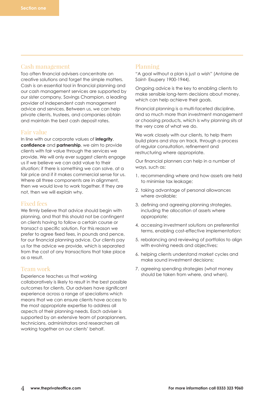#### Cash management

Too often financial advisers concentrate on creative solutions and forget the simple matters. Cash is an essential tool in financial planning and our cash management services are supported by our sister company, Savings Champion, a leading provider of independent cash management advice and services. Between us, we can help private clients, trustees, and companies obtain and maintain the best cash deposit rates.

#### Fair value

In line with our corporate values of **integrity**, **confidence** and **partnership**, we aim to provide clients with fair value through the services we provide. We will only ever suggest clients engage us if we believe we can add value to their situation; if there is something we can solve, at a fair price and if it makes commercial sense for us. Where all three components are in alignment, then we would love to work together. If they are not, then we will explain why.

#### Fixed fees

We firmly believe that advice should begin with planning, and that this should not be contingent on clients having to follow a certain course or transact a specific solution. For this reason we prefer to agree fixed fees, in pounds and pence, for our financial planning advice. Our clients pay us for the advice we provide, which is separated from the cost of any transactions that take place as a result.

#### Team work

Experience teaches us that working collaboratively is likely to result in the best possible outcomes for clients. Our advisers have significant experience across a range of specialisms which means that we can ensure clients have access to the most appropriate expertise to address all aspects of their planning needs. Each adviser is supported by an extensive team of paraplanners, technicians, administrators and researchers all working together on our clients' behalf.

#### Planning

"A goal without a plan is just a wish" (Antoine de Saint- Exupery 1900-1944).

Ongoing advice is the key to enabling clients to make sensible long-term decisions about money, which can help achieve their goals.

Financial planning is a multi-faceted discipline, and so much more than investment management or choosing products, which is why planning sits at the very core of what we do.

We work closely with our clients, to help them build plans and stay on track, through a process of regular consultation, refinement and restructuring where appropriate.

Our financial planners can help in a number of ways, such as:

- 1. recommending where and how assets are held to minimise tax leakage;
- 2. taking advantage of personal allowances where available;
- 3. defining and agreeing planning strategies, including the allocation of assets where appropriate;
- 4. accessing investment solutions on preferential terms, enabling cost-effective implementation;
- 5. rebalancing and reviewing of portfolios to align with evolving needs and objectives;
- 6. helping clients understand market cycles and make sound investment decisions;
- 7. agreeing spending strategies (what money should be taken from where, and when).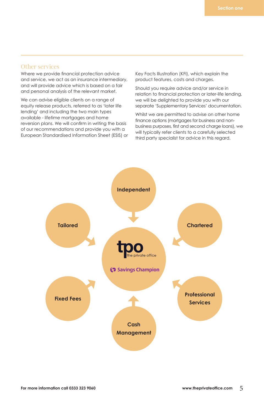#### Other services

Where we provide financial protection advice and service, we act as an insurance intermediary, and will provide advice which is based on a fair and personal analysis of the relevant market.

We can advise eligible clients on a range of equity release products, referred to as 'later life lending' and including the two main types available - lifetime mortgages and home reversion plans. We will confirm in writing the basis of our recommendations and provide you with a European Standardised Information Sheet (ESIS) or Key Facts Illustration (KFI), which explain the product features, costs and charges.

Should you require advice and/or service in relation to financial protection or later-life lending, we will be delighted to provide you with our separate 'Supplementary Services' documentation.

Whilst we are permitted to advise on other home finance options (mortgages for business and nonbusiness purposes, first and second charge loans), we will typically refer clients to a carefully selected third party specialist for advice in this regard.

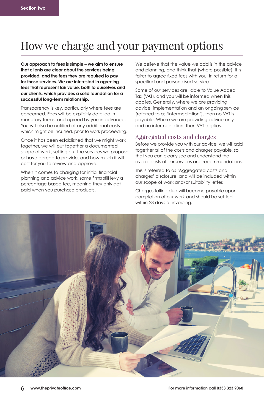## How we charge and your payment options

**Our approach to fees is simple – we aim to ensure that clients are clear about the services being provided, and the fees they are required to pay for those services. We are interested in agreeing fees that represent fair value, both to ourselves and our clients, which provides a solid foundation for a successful long-term relationship.** 

Transparency is key, particularly where fees are concerned. Fees will be explicitly detailed in monetary terms, and agreed by you in advance. You will also be notified of any additional costs which might be incurred, prior to work proceeding.

Once it has been established that we might work together, we will put together a documented scope of work, setting out the services we propose or have agreed to provide, and how much it will cost for you to review and approve.

When it comes to charging for initial financial planning and advice work, some firms still levy a percentage based fee, meaning they only get paid when you purchase products.

We believe that the value we add is in the advice and planning, and think that (where possible), it is fairer to agree fixed fees with you, in return for a specified and personalised service.

Some of our services are liable to Value Added Tax (VAT), and you will be informed when this applies. Generally, where we are providing advice, implementation and an ongoing service (referred to as 'intermediation'), then no VAT is payable. Where we are providing advice only and no intermediation, then VAT applies.

#### Aggregated costs and charges

Before we provide you with our advice, we will add together all of the costs and charges payable, so that you can clearly see and understand the overall costs of our services and recommendations.

This is referred to as 'Aggregated costs and charges' disclosure, and will be included within our scope of work and/or suitability letter.

Charges falling due will become payable upon completion of our work and should be settled within 28 days of invoicing.

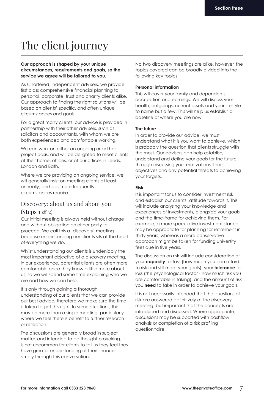# The client journey

#### **Our approach is shaped by your unique circumstances, requirements and goals, so the service we agree will be tailored to you.**

As Chartered, independent advisers, we provide first class comprehensive financial planning to personal, corporate, trust and charity clients alike. Our approach to finding the right solutions will be based on clients' specific, and often unique circumstances and goals.

For a great many clients, our advice is provided in partnership with their other advisers, such as solicitors and accountants, with whom we are both experienced and comfortable working.

We can work on either an ongoing or ad hoc project basis, and will be delighted to meet clients at their home, offices, or at our offices in Leeds, London and Bath.

Where we are providing an ongoing service, we will generally insist on meeting clients at least annually; perhaps more frequently if circumstances require.

### Discovery: about us and about you

### $(Stens 1 \& 2)$

Our initial meeting is always held without charge and without obligation on either party to proceed. We call this a 'discovery' meeting because understanding our clients sits at the heart of everything we do.

Whilst understanding our clients is undeniably the most important objective of a discovery meeting, in our experience, potential clients are often more comfortable once they know a little more about us, so we will spend some time explaining who we are and how we can help.

It is only through gaining a thorough understanding of our clients that we can provide our best advice, therefore we make sure the time is taken to get this right. In some situations, this may be more than a single meeting, particularly where we feel there is benefit to further research or reflection.

The discussions are generally broad in subject matter, and intended to be thought provoking. It is not uncommon for clients to tell us they feel they have greater understanding of their finances simply through this conversation.

No two discovery meetings are alike, however, the topics covered can be broadly divided into the following key topics:

#### **Personal information**

This will cover your family and dependents, occupation and earnings. We will discuss your health, outgoings, current assets and your lifestyle to name but a few. This will help us establish a baseline of where you are now.

#### **The future**

In order to provide our advice, we must understand what it is you want to achieve, which is probably the question that clients struggle with the most. Our advisers can help establish, understand and define your goals for the future, through discussing your motivations, fears, objectives and any potential threats to achieving your targets.

#### **Risk**

It is important for us to consider investment risk, and establish our clients' attitude towards it. This will include analysing your knowledge and experiences of investments, alongside your goals and the time-frame for achieving them. For example, a more speculative investment stance may be appropriate for planning for retirement in thirty years, whereas a more conservative approach might be taken for funding university fees due in five years.

The discussion on risk will include consideration of your **capacity** for loss (how much you can afford to risk and still meet your goals), your **tolerance** for loss (the psychological factor - how much risk you are comfortable in taking), and the amount of risk you **need** to take in order to achieve your goals.

It is not necessarily intended that the questions of risk are answered definitively at the discovery meeting, but important that the concepts are introduced and discussed. Where appropriate, discussions may be supported with cashflow analysis or completion of a risk profiling questionnaire.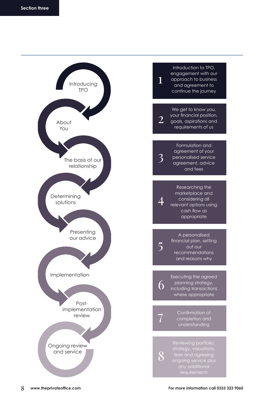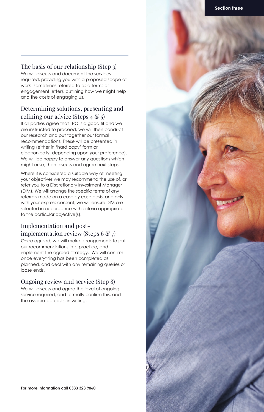#### The basis of our relationship (Step 3)

We will discuss and document the services required, providing you with a proposed scope of work (sometimes referred to as a terms of engagement letter), outlining how we might help and the costs of engaging us.

#### Determining solutions, presenting and refining our advice (Steps  $4 \mathcal{F}$  5)

If all parties agree that TPO is a good fit and we are instructed to proceed, we will then conduct our research and put together our formal recommendations. These will be presented in writing (either in 'hard copy' form or electronically, depending upon your preference). We will be happy to answer any questions which might arise, then discuss and agree next steps.

Where it is considered a suitable way of meeting your objectives we may recommend the use of, or refer you to a Discretionary Investment Manager (DIM). We will arrange the specific terms of any referrals made on a case by case basis, and only with your express consent; we will ensure DIM are selected in accordance with criteria appropriate to the particular objective(s).

#### Implementation and postimplementation review (Steps 6  $\mathcal{C}$  7)

Once agreed, we will make arrangements to put our recommendations into practice, and implement the agreed strategy. We will confirm once everything has been completed as planned, and deal with any remaining queries or loose ends.

#### Ongoing review and service (Step 8)

We will discuss and agree the level of ongoing service required, and formally confirm this, and the associated costs, in writing.

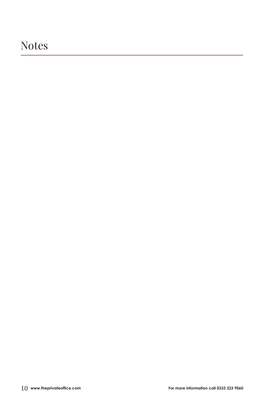### Notes